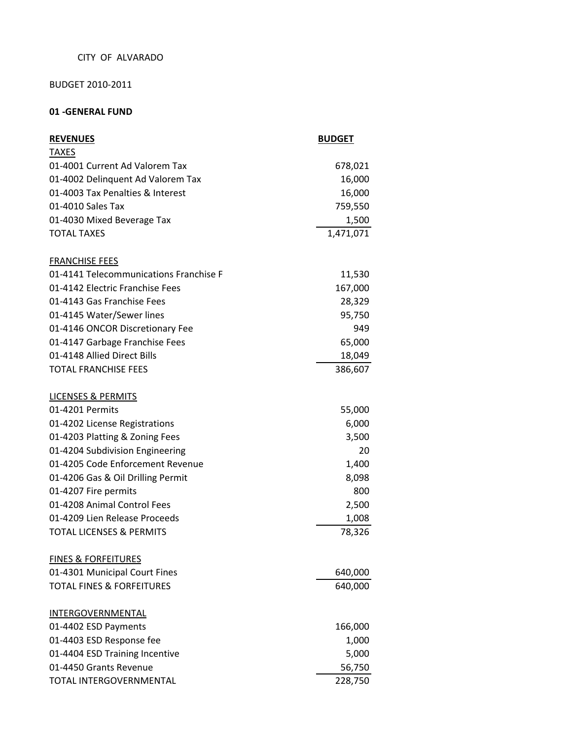## CITY OF ALVARADO

# BUDGET 2010-2011

# **01 -GENERAL FUND**

| <b>REVENUES</b>                        | <b>BUDGET</b> |
|----------------------------------------|---------------|
| <b>TAXES</b>                           |               |
| 01-4001 Current Ad Valorem Tax         | 678,021       |
| 01-4002 Delinquent Ad Valorem Tax      | 16,000        |
| 01-4003 Tax Penalties & Interest       | 16,000        |
| 01-4010 Sales Tax                      | 759,550       |
| 01-4030 Mixed Beverage Tax             | 1,500         |
| <b>TOTAL TAXES</b>                     | 1,471,071     |
| <b>FRANCHISE FEES</b>                  |               |
| 01-4141 Telecommunications Franchise F | 11,530        |
| 01-4142 Electric Franchise Fees        | 167,000       |
| 01-4143 Gas Franchise Fees             | 28,329        |
| 01-4145 Water/Sewer lines              | 95,750        |
| 01-4146 ONCOR Discretionary Fee        | 949           |
| 01-4147 Garbage Franchise Fees         | 65,000        |
| 01-4148 Allied Direct Bills            | 18,049        |
| <b>TOTAL FRANCHISE FEES</b>            | 386,607       |
| <b>LICENSES &amp; PERMITS</b>          |               |
| 01-4201 Permits                        | 55,000        |
| 01-4202 License Registrations          | 6,000         |
| 01-4203 Platting & Zoning Fees         | 3,500         |
| 01-4204 Subdivision Engineering        | 20            |
| 01-4205 Code Enforcement Revenue       | 1,400         |
| 01-4206 Gas & Oil Drilling Permit      | 8,098         |
| 01-4207 Fire permits                   | 800           |
| 01-4208 Animal Control Fees            | 2,500         |
| 01-4209 Lien Release Proceeds          | 1,008         |
| <b>TOTAL LICENSES &amp; PERMITS</b>    | 78,326        |
| <b>FINES &amp; FORFEITURES</b>         |               |
| 01-4301 Municipal Court Fines          | 640,000       |
| <b>TOTAL FINES &amp; FORFEITURES</b>   | 640,000       |
| INTERGOVERNMENTAL                      |               |
| 01-4402 ESD Payments                   | 166,000       |
| 01-4403 ESD Response fee               | 1,000         |
| 01-4404 ESD Training Incentive         | 5,000         |
| 01-4450 Grants Revenue                 | 56,750        |
| TOTAL INTERGOVERNMENTAL                | 228,750       |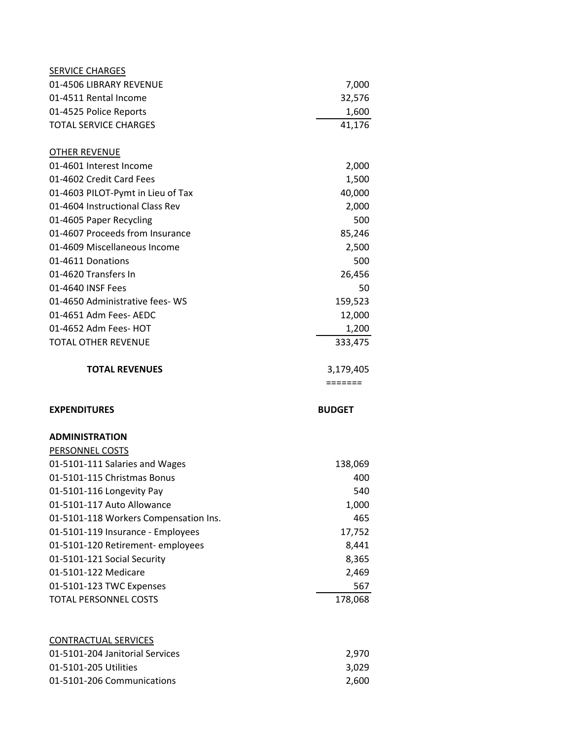| <b>SERVICE CHARGES</b>                                   |                |
|----------------------------------------------------------|----------------|
| 01-4506 LIBRARY REVENUE                                  | 7,000          |
| 01-4511 Rental Income                                    | 32,576         |
| 01-4525 Police Reports                                   | 1,600          |
| <b>TOTAL SERVICE CHARGES</b>                             | 41,176         |
| <b>OTHER REVENUE</b>                                     |                |
| 01-4601 Interest Income                                  | 2,000          |
| 01-4602 Credit Card Fees                                 | 1,500          |
| 01-4603 PILOT-Pymt in Lieu of Tax                        | 40,000         |
| 01-4604 Instructional Class Rev                          | 2,000          |
| 01-4605 Paper Recycling                                  | 500            |
| 01-4607 Proceeds from Insurance                          | 85,246         |
| 01-4609 Miscellaneous Income                             | 2,500          |
| 01-4611 Donations                                        | 500            |
| 01-4620 Transfers In                                     | 26,456         |
| 01-4640 INSF Fees                                        | 50             |
| 01-4650 Administrative fees-WS                           | 159,523        |
| 01-4651 Adm Fees- AEDC                                   | 12,000         |
| 01-4652 Adm Fees- HOT                                    | 1,200          |
| <b>TOTAL OTHER REVENUE</b>                               | 333,475        |
| <b>TOTAL REVENUES</b>                                    | 3,179,405      |
|                                                          |                |
|                                                          | =======        |
| <b>EXPENDITURES</b>                                      | <b>BUDGET</b>  |
| <b>ADMINISTRATION</b>                                    |                |
| PERSONNEL COSTS                                          |                |
| 01-5101-111 Salaries and Wages                           | 138,069        |
| 01-5101-115 Christmas Bonus                              | 400            |
| 01-5101-116 Longevity Pay                                | 540            |
| 01-5101-117 Auto Allowance                               | 1,000          |
| 01-5101-118 Workers Compensation Ins.                    | 465            |
| 01-5101-119 Insurance - Employees                        | 17,752         |
| 01-5101-120 Retirement-employees                         | 8,441          |
| 01-5101-121 Social Security                              | 8,365          |
| 01-5101-122 Medicare                                     | 2,469          |
| 01-5101-123 TWC Expenses                                 | 567            |
| <b>TOTAL PERSONNEL COSTS</b>                             | 178,068        |
|                                                          |                |
| <b>CONTRACTUAL SERVICES</b>                              |                |
| 01-5101-204 Janitorial Services<br>01-5101-205 Utilities | 2,970<br>3,029 |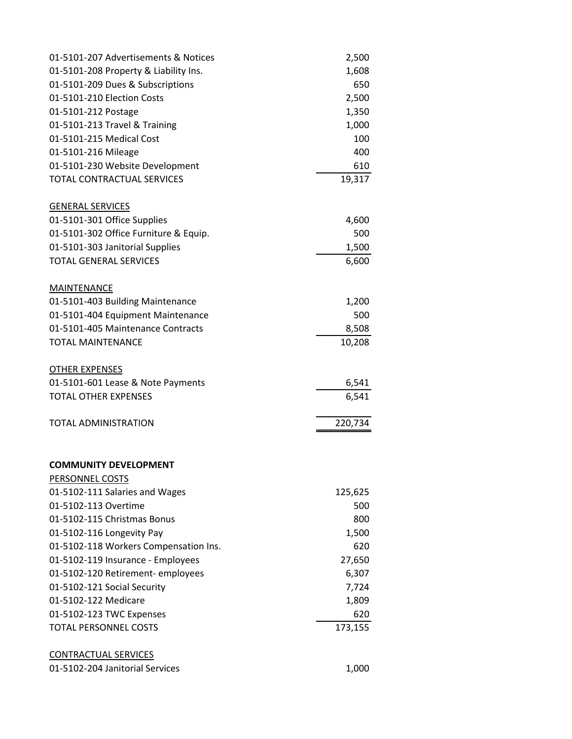| 01-5101-207 Advertisements & Notices  | 2,500   |
|---------------------------------------|---------|
| 01-5101-208 Property & Liability Ins. | 1,608   |
| 01-5101-209 Dues & Subscriptions      | 650     |
| 01-5101-210 Election Costs            | 2,500   |
| 01-5101-212 Postage                   | 1,350   |
| 01-5101-213 Travel & Training         | 1,000   |
| 01-5101-215 Medical Cost              | 100     |
| 01-5101-216 Mileage                   | 400     |
| 01-5101-230 Website Development       | 610     |
| TOTAL CONTRACTUAL SERVICES            | 19,317  |
| <b>GENERAL SERVICES</b>               |         |
| 01-5101-301 Office Supplies           | 4,600   |
| 01-5101-302 Office Furniture & Equip. | 500     |
| 01-5101-303 Janitorial Supplies       | 1,500   |
| <b>TOTAL GENERAL SERVICES</b>         | 6,600   |
| MAINTENANCE                           |         |
| 01-5101-403 Building Maintenance      | 1,200   |
| 01-5101-404 Equipment Maintenance     | 500     |
| 01-5101-405 Maintenance Contracts     | 8,508   |
| <b>TOTAL MAINTENANCE</b>              | 10,208  |
| <b>OTHER EXPENSES</b>                 |         |
| 01-5101-601 Lease & Note Payments     | 6,541   |
| <b>TOTAL OTHER EXPENSES</b>           | 6,541   |
| <b>TOTAL ADMINISTRATION</b>           | 220,734 |
| <b>COMMUNITY DEVELOPMENT</b>          |         |
| PERSONNEL COSTS                       |         |
| 01-5102-111 Salaries and Wages        | 125,625 |
| 01-5102-113 Overtime                  | 500     |
| 01-5102-115 Christmas Bonus           | 800     |
| 01-5102-116 Longevity Pay             | 1,500   |
| 01-5102-118 Workers Compensation Ins. | 620     |
| 01-5102-119 Insurance - Employees     | 27,650  |
| 01-5102-120 Retirement- employees     | 6,307   |
| 01-5102-121 Social Security           | 7,724   |
| 01-5102-122 Medicare                  | 1,809   |
| 01-5102-123 TWC Expenses              | 620     |
| <b>TOTAL PERSONNEL COSTS</b>          | 173,155 |
| <b>CONTRACTUAL SERVICES</b>           |         |
| 01-5102-204 Janitorial Services       | 1,000   |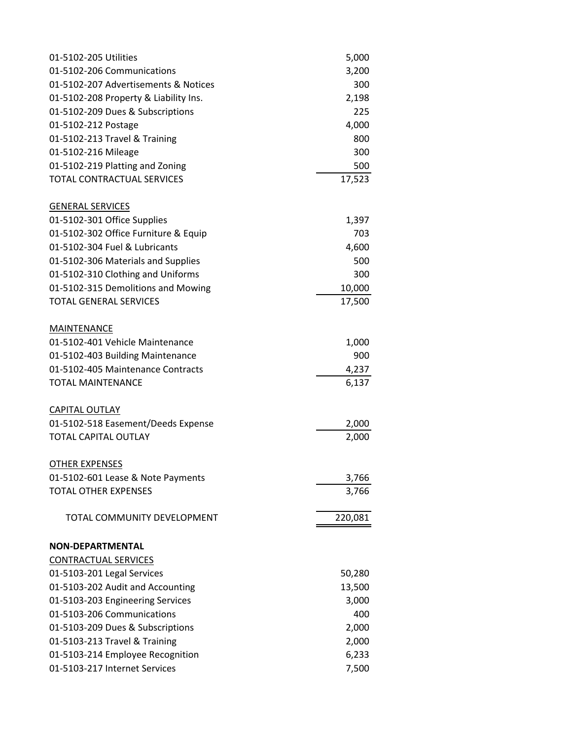| 01-5102-205 Utilities                 | 5,000   |
|---------------------------------------|---------|
| 01-5102-206 Communications            | 3,200   |
| 01-5102-207 Advertisements & Notices  | 300     |
| 01-5102-208 Property & Liability Ins. | 2,198   |
| 01-5102-209 Dues & Subscriptions      | 225     |
| 01-5102-212 Postage                   | 4,000   |
| 01-5102-213 Travel & Training         | 800     |
| 01-5102-216 Mileage                   | 300     |
| 01-5102-219 Platting and Zoning       | 500     |
| <b>TOTAL CONTRACTUAL SERVICES</b>     | 17,523  |
| <b>GENERAL SERVICES</b>               |         |
| 01-5102-301 Office Supplies           | 1,397   |
| 01-5102-302 Office Furniture & Equip  | 703     |
| 01-5102-304 Fuel & Lubricants         | 4,600   |
| 01-5102-306 Materials and Supplies    | 500     |
| 01-5102-310 Clothing and Uniforms     | 300     |
| 01-5102-315 Demolitions and Mowing    | 10,000  |
| <b>TOTAL GENERAL SERVICES</b>         | 17,500  |
| MAINTENANCE                           |         |
| 01-5102-401 Vehicle Maintenance       | 1,000   |
| 01-5102-403 Building Maintenance      | 900     |
| 01-5102-405 Maintenance Contracts     | 4,237   |
| <b>TOTAL MAINTENANCE</b>              | 6,137   |
| <b>CAPITAL OUTLAY</b>                 |         |
| 01-5102-518 Easement/Deeds Expense    | 2,000   |
| <b>TOTAL CAPITAL OUTLAY</b>           | 2,000   |
| <b>OTHER EXPENSES</b>                 |         |
| 01-5102-601 Lease & Note Payments     | 3,766   |
| <b>TOTAL OTHER EXPENSES</b>           | 3,766   |
| TOTAL COMMUNITY DEVELOPMENT           | 220,081 |
| <b>NON-DEPARTMENTAL</b>               |         |
| <b>CONTRACTUAL SERVICES</b>           |         |
| 01-5103-201 Legal Services            | 50,280  |
| 01-5103-202 Audit and Accounting      | 13,500  |
| 01-5103-203 Engineering Services      | 3,000   |
| 01-5103-206 Communications            | 400     |
| 01-5103-209 Dues & Subscriptions      | 2,000   |
| 01-5103-213 Travel & Training         | 2,000   |
| 01-5103-214 Employee Recognition      | 6,233   |
| 01-5103-217 Internet Services         | 7,500   |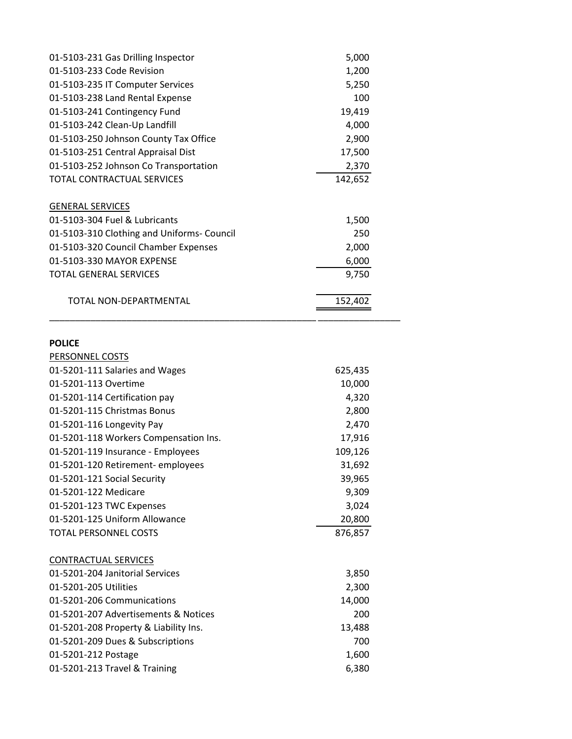| 5,000   |  |
|---------|--|
| 1,200   |  |
| 5,250   |  |
| 100     |  |
| 19,419  |  |
| 4,000   |  |
| 2,900   |  |
| 17,500  |  |
| 2,370   |  |
| 142,652 |  |
|         |  |
| 1,500   |  |
| 250     |  |
| 2,000   |  |
| 6,000   |  |
| 9,750   |  |
| 152,402 |  |
|         |  |

### **POLICE**

| PERSONNEL COSTS                       |         |
|---------------------------------------|---------|
| 01-5201-111 Salaries and Wages        | 625,435 |
| 01-5201-113 Overtime                  | 10,000  |
| 01-5201-114 Certification pay         | 4,320   |
| 01-5201-115 Christmas Bonus           | 2,800   |
| 01-5201-116 Longevity Pay             | 2,470   |
| 01-5201-118 Workers Compensation Ins. | 17,916  |
| 01-5201-119 Insurance - Employees     | 109,126 |
| 01-5201-120 Retirement-employees      | 31,692  |
| 01-5201-121 Social Security           | 39,965  |
| 01-5201-122 Medicare                  | 9,309   |
| 01-5201-123 TWC Expenses              | 3,024   |
| 01-5201-125 Uniform Allowance         | 20,800  |
| <b>TOTAL PERSONNEL COSTS</b>          | 876,857 |
|                                       |         |
| <b>CONTRACTUAL SERVICES</b>           |         |
| 01-5201-204 Janitorial Services       | 3,850   |
| 01-5201-205 Utilities                 | 2,300   |
| 01-5201-206 Communications            | 14,000  |
| 01-5201-207 Advertisements & Notices  | 200     |
| 01-5201-208 Property & Liability Ins. | 13,488  |
| 01-5201-209 Dues & Subscriptions      | 700     |
| 01-5201-212 Postage                   | 1,600   |
| 01-5201-213 Travel & Training         | 6,380   |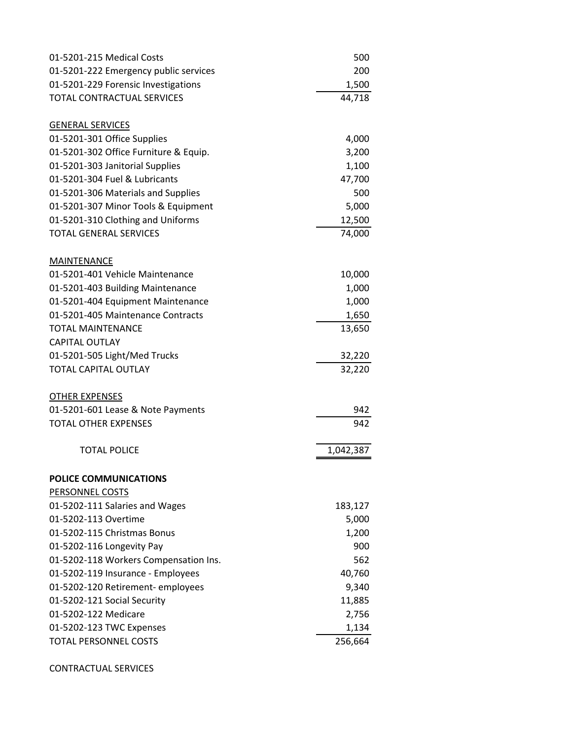| 01-5201-215 Medical Costs             | 500       |
|---------------------------------------|-----------|
| 01-5201-222 Emergency public services | 200       |
| 01-5201-229 Forensic Investigations   | 1,500     |
| <b>TOTAL CONTRACTUAL SERVICES</b>     | 44,718    |
| <b>GENERAL SERVICES</b>               |           |
| 01-5201-301 Office Supplies           | 4,000     |
| 01-5201-302 Office Furniture & Equip. | 3,200     |
| 01-5201-303 Janitorial Supplies       | 1,100     |
| 01-5201-304 Fuel & Lubricants         | 47,700    |
| 01-5201-306 Materials and Supplies    | 500       |
| 01-5201-307 Minor Tools & Equipment   | 5,000     |
| 01-5201-310 Clothing and Uniforms     | 12,500    |
| <b>TOTAL GENERAL SERVICES</b>         | 74,000    |
| MAINTENANCE                           |           |
| 01-5201-401 Vehicle Maintenance       | 10,000    |
| 01-5201-403 Building Maintenance      | 1,000     |
| 01-5201-404 Equipment Maintenance     | 1,000     |
| 01-5201-405 Maintenance Contracts     | 1,650     |
| <b>TOTAL MAINTENANCE</b>              | 13,650    |
| <b>CAPITAL OUTLAY</b>                 |           |
| 01-5201-505 Light/Med Trucks          | 32,220    |
| <b>TOTAL CAPITAL OUTLAY</b>           | 32,220    |
| <b>OTHER EXPENSES</b>                 |           |
| 01-5201-601 Lease & Note Payments     | 942       |
| <b>TOTAL OTHER EXPENSES</b>           | 942       |
| <b>TOTAL POLICE</b>                   | 1,042,387 |
| POLICE COMMUNICATIONS                 |           |
| <b>PERSONNEL COSTS</b>                |           |
| 01-5202-111 Salaries and Wages        | 183,127   |
| 01-5202-113 Overtime                  | 5,000     |
| 01-5202-115 Christmas Bonus           | 1,200     |
| 01-5202-116 Longevity Pay             | 900       |
| 01-5202-118 Workers Compensation Ins. | 562       |
| 01-5202-119 Insurance - Employees     | 40,760    |
| 01-5202-120 Retirement- employees     | 9,340     |
| 01-5202-121 Social Security           | 11,885    |
| 01-5202-122 Medicare                  | 2,756     |
| 01-5202-123 TWC Expenses              | 1,134     |
| <b>TOTAL PERSONNEL COSTS</b>          | 256,664   |

CONTRACTUAL SERVICES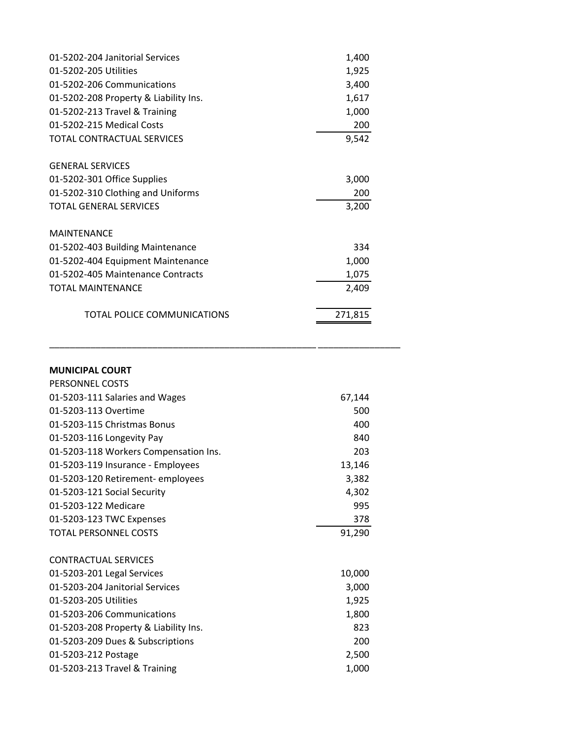| 01-5202-204 Janitorial Services       | 1,400   |
|---------------------------------------|---------|
| 01-5202-205 Utilities                 | 1,925   |
| 01-5202-206 Communications            | 3,400   |
| 01-5202-208 Property & Liability Ins. | 1,617   |
| 01-5202-213 Travel & Training         | 1,000   |
| 01-5202-215 Medical Costs             | 200     |
| TOTAL CONTRACTUAL SERVICES            | 9,542   |
| <b>GENERAL SERVICES</b>               |         |
| 01-5202-301 Office Supplies           | 3,000   |
| 01-5202-310 Clothing and Uniforms     | 200     |
| <b>TOTAL GENERAL SERVICES</b>         | 3,200   |
| <b>MAINTENANCE</b>                    |         |
| 01-5202-403 Building Maintenance      | 334     |
| 01-5202-404 Equipment Maintenance     | 1,000   |
| 01-5202-405 Maintenance Contracts     | 1,075   |
| <b>TOTAL MAINTENANCE</b>              | 2,409   |
| TOTAL POLICE COMMUNICATIONS           | 271,815 |

| <b>MUNICIPAL COURT</b>                |        |
|---------------------------------------|--------|
| PERSONNEL COSTS                       |        |
| 01-5203-111 Salaries and Wages        | 67,144 |
| 01-5203-113 Overtime                  | 500    |
| 01-5203-115 Christmas Bonus           | 400    |
| 01-5203-116 Longevity Pay             | 840    |
| 01-5203-118 Workers Compensation Ins. | 203    |
| 01-5203-119 Insurance - Employees     | 13,146 |
| 01-5203-120 Retirement-employees      | 3,382  |
| 01-5203-121 Social Security           | 4,302  |
| 01-5203-122 Medicare                  | 995    |
|                                       |        |
| 01-5203-123 TWC Expenses              | 378    |
| <b>TOTAL PERSONNEL COSTS</b>          | 91,290 |
|                                       |        |
| <b>CONTRACTUAL SERVICES</b>           |        |
| 01-5203-201 Legal Services            | 10,000 |
| 01-5203-204 Janitorial Services       | 3,000  |
| 01-5203-205 Utilities                 | 1,925  |
| 01-5203-206 Communications            | 1,800  |
| 01-5203-208 Property & Liability Ins. | 823    |
| 01-5203-209 Dues & Subscriptions      | 200    |
| 01-5203-212 Postage                   | 2,500  |

\_\_\_\_\_\_\_\_\_\_\_\_\_\_\_\_\_\_\_\_\_\_\_\_\_\_\_\_\_\_\_\_\_\_\_\_\_\_\_\_\_\_\_\_\_\_\_\_\_\_\_\_\_\_\_\_\_\_\_\_\_ \_\_\_\_\_\_\_\_\_\_\_\_\_\_\_\_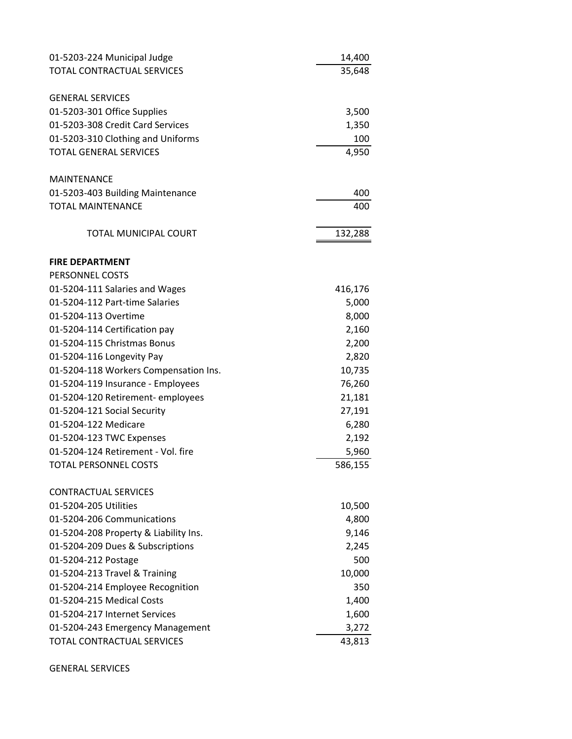| 01-5203-224 Municipal Judge           | 14,400  |
|---------------------------------------|---------|
| TOTAL CONTRACTUAL SERVICES            | 35,648  |
| <b>GENERAL SERVICES</b>               |         |
| 01-5203-301 Office Supplies           | 3,500   |
| 01-5203-308 Credit Card Services      | 1,350   |
| 01-5203-310 Clothing and Uniforms     | 100     |
| <b>TOTAL GENERAL SERVICES</b>         | 4,950   |
|                                       |         |
| <b>MAINTENANCE</b>                    |         |
| 01-5203-403 Building Maintenance      | 400     |
| <b>TOTAL MAINTENANCE</b>              | 400     |
| <b>TOTAL MUNICIPAL COURT</b>          | 132,288 |
|                                       |         |
| <b>FIRE DEPARTMENT</b>                |         |
| PERSONNEL COSTS                       |         |
| 01-5204-111 Salaries and Wages        | 416,176 |
| 01-5204-112 Part-time Salaries        | 5,000   |
| 01-5204-113 Overtime                  | 8,000   |
| 01-5204-114 Certification pay         | 2,160   |
| 01-5204-115 Christmas Bonus           | 2,200   |
| 01-5204-116 Longevity Pay             | 2,820   |
| 01-5204-118 Workers Compensation Ins. | 10,735  |
| 01-5204-119 Insurance - Employees     | 76,260  |
| 01-5204-120 Retirement-employees      | 21,181  |
| 01-5204-121 Social Security           | 27,191  |
| 01-5204-122 Medicare                  | 6,280   |
| 01-5204-123 TWC Expenses              | 2,192   |
| 01-5204-124 Retirement - Vol. fire    | 5,960   |
| <b>TOTAL PERSONNEL COSTS</b>          | 586,155 |
| <b>CONTRACTUAL SERVICES</b>           |         |
| 01-5204-205 Utilities                 | 10,500  |
| 01-5204-206 Communications            | 4,800   |
| 01-5204-208 Property & Liability Ins. | 9,146   |
| 01-5204-209 Dues & Subscriptions      | 2,245   |
| 01-5204-212 Postage                   | 500     |
| 01-5204-213 Travel & Training         | 10,000  |
| 01-5204-214 Employee Recognition      | 350     |
| 01-5204-215 Medical Costs             | 1,400   |
| 01-5204-217 Internet Services         | 1,600   |
| 01-5204-243 Emergency Management      | 3,272   |
| TOTAL CONTRACTUAL SERVICES            | 43,813  |

GENERAL SERVICES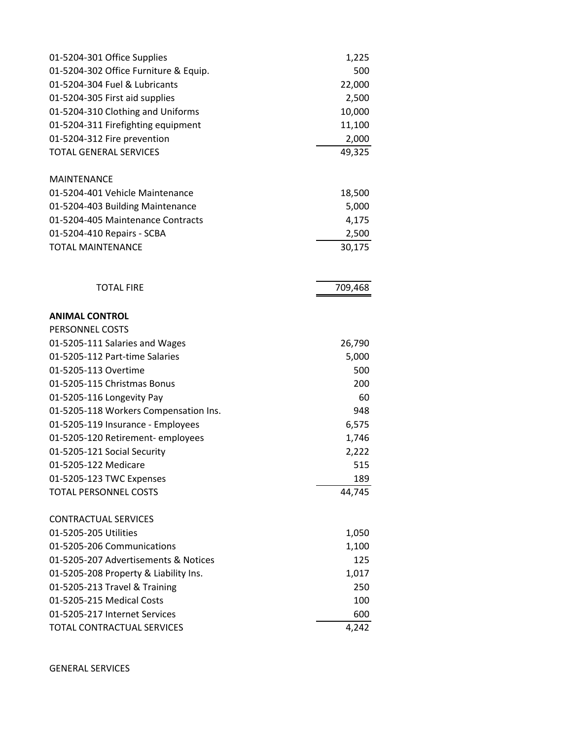| 01-5204-301 Office Supplies           | 1,225   |
|---------------------------------------|---------|
| 01-5204-302 Office Furniture & Equip. | 500     |
| 01-5204-304 Fuel & Lubricants         | 22,000  |
| 01-5204-305 First aid supplies        | 2,500   |
| 01-5204-310 Clothing and Uniforms     | 10,000  |
| 01-5204-311 Firefighting equipment    | 11,100  |
| 01-5204-312 Fire prevention           | 2,000   |
| <b>TOTAL GENERAL SERVICES</b>         | 49,325  |
| <b>MAINTENANCE</b>                    |         |
| 01-5204-401 Vehicle Maintenance       | 18,500  |
| 01-5204-403 Building Maintenance      | 5,000   |
| 01-5204-405 Maintenance Contracts     | 4,175   |
| 01-5204-410 Repairs - SCBA            | 2,500   |
| <b>TOTAL MAINTENANCE</b>              | 30,175  |
| <b>TOTAL FIRE</b>                     | 709,468 |
| <b>ANIMAL CONTROL</b>                 |         |
| PERSONNEL COSTS                       |         |
| 01-5205-111 Salaries and Wages        | 26,790  |
| 01-5205-112 Part-time Salaries        | 5,000   |
| 01-5205-113 Overtime                  | 500     |
| 01-5205-115 Christmas Bonus           | 200     |
| 01-5205-116 Longevity Pay             | 60      |
| 01-5205-118 Workers Compensation Ins. | 948     |
| 01-5205-119 Insurance - Employees     | 6,575   |
| 01-5205-120 Retirement-employees      | 1,746   |
| 01-5205-121 Social Security           | 2,222   |
| 01-5205-122 Medicare                  | 515     |
| 01-5205-123 TWC Expenses              | 189     |
| <b>TOTAL PERSONNEL COSTS</b>          | 44,745  |
| <b>CONTRACTUAL SERVICES</b>           |         |
| 01-5205-205 Utilities                 | 1,050   |
| 01-5205-206 Communications            | 1,100   |
| 01-5205-207 Advertisements & Notices  | 125     |
| 01-5205-208 Property & Liability Ins. | 1,017   |
| 01-5205-213 Travel & Training         | 250     |
| 01-5205-215 Medical Costs             | 100     |
| 01-5205-217 Internet Services         | 600     |
| TOTAL CONTRACTUAL SERVICES            | 4,242   |

GENERAL SERVICES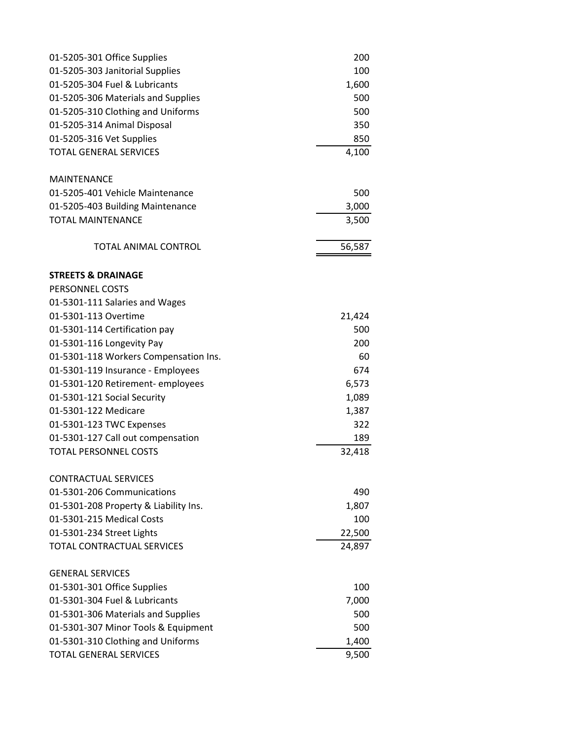| 01-5205-301 Office Supplies           | 200    |
|---------------------------------------|--------|
| 01-5205-303 Janitorial Supplies       | 100    |
| 01-5205-304 Fuel & Lubricants         | 1,600  |
| 01-5205-306 Materials and Supplies    | 500    |
| 01-5205-310 Clothing and Uniforms     | 500    |
| 01-5205-314 Animal Disposal           | 350    |
| 01-5205-316 Vet Supplies              | 850    |
| <b>TOTAL GENERAL SERVICES</b>         | 4,100  |
| <b>MAINTENANCE</b>                    |        |
| 01-5205-401 Vehicle Maintenance       | 500    |
| 01-5205-403 Building Maintenance      | 3,000  |
| <b>TOTAL MAINTENANCE</b>              | 3,500  |
| <b>TOTAL ANIMAL CONTROL</b>           | 56,587 |
| <b>STREETS &amp; DRAINAGE</b>         |        |
| <b>PERSONNEL COSTS</b>                |        |
| 01-5301-111 Salaries and Wages        |        |
| 01-5301-113 Overtime                  | 21,424 |
| 01-5301-114 Certification pay         | 500    |
| 01-5301-116 Longevity Pay             | 200    |
| 01-5301-118 Workers Compensation Ins. | 60     |
| 01-5301-119 Insurance - Employees     | 674    |
| 01-5301-120 Retirement-employees      | 6,573  |
| 01-5301-121 Social Security           | 1,089  |
| 01-5301-122 Medicare                  | 1,387  |
| 01-5301-123 TWC Expenses              | 322    |
| 01-5301-127 Call out compensation     | 189    |
| <b>TOTAL PERSONNEL COSTS</b>          | 32,418 |
| <b>CONTRACTUAL SERVICES</b>           |        |
| 01-5301-206 Communications            | 490    |
| 01-5301-208 Property & Liability Ins. | 1,807  |
| 01-5301-215 Medical Costs             | 100    |
| 01-5301-234 Street Lights             | 22,500 |
| <b>TOTAL CONTRACTUAL SERVICES</b>     | 24,897 |
| <b>GENERAL SERVICES</b>               |        |
| 01-5301-301 Office Supplies           | 100    |
| 01-5301-304 Fuel & Lubricants         | 7,000  |
| 01-5301-306 Materials and Supplies    | 500    |
| 01-5301-307 Minor Tools & Equipment   | 500    |
| 01-5301-310 Clothing and Uniforms     | 1,400  |
| <b>TOTAL GENERAL SERVICES</b>         | 9,500  |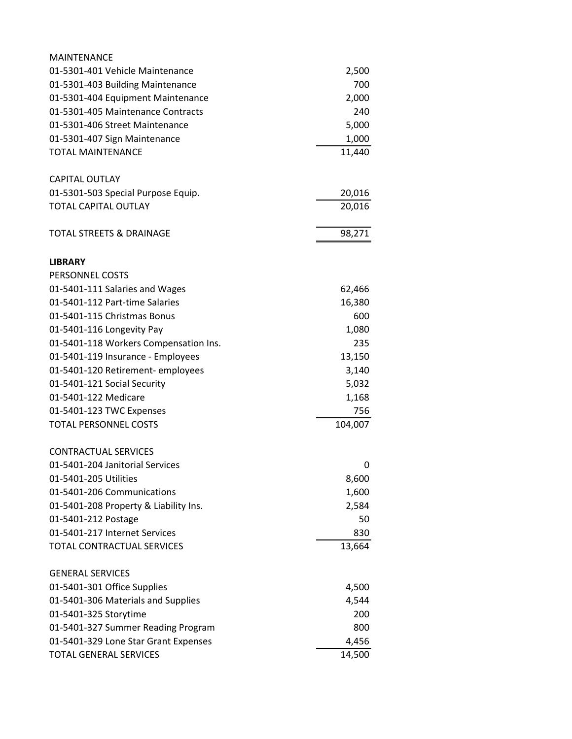| <b>MAINTENANCE</b>                    |         |
|---------------------------------------|---------|
| 01-5301-401 Vehicle Maintenance       | 2,500   |
| 01-5301-403 Building Maintenance      | 700     |
| 01-5301-404 Equipment Maintenance     | 2,000   |
| 01-5301-405 Maintenance Contracts     | 240     |
| 01-5301-406 Street Maintenance        | 5,000   |
| 01-5301-407 Sign Maintenance          | 1,000   |
| <b>TOTAL MAINTENANCE</b>              | 11,440  |
| <b>CAPITAL OUTLAY</b>                 |         |
| 01-5301-503 Special Purpose Equip.    | 20,016  |
| <b>TOTAL CAPITAL OUTLAY</b>           | 20,016  |
| <b>TOTAL STREETS &amp; DRAINAGE</b>   | 98,271  |
| <b>LIBRARY</b>                        |         |
| PERSONNEL COSTS                       |         |
| 01-5401-111 Salaries and Wages        | 62,466  |
| 01-5401-112 Part-time Salaries        | 16,380  |
| 01-5401-115 Christmas Bonus           | 600     |
| 01-5401-116 Longevity Pay             | 1,080   |
| 01-5401-118 Workers Compensation Ins. | 235     |
| 01-5401-119 Insurance - Employees     | 13,150  |
| 01-5401-120 Retirement-employees      | 3,140   |
| 01-5401-121 Social Security           | 5,032   |
| 01-5401-122 Medicare                  | 1,168   |
| 01-5401-123 TWC Expenses              | 756     |
| <b>TOTAL PERSONNEL COSTS</b>          | 104,007 |
| <b>CONTRACTUAL SERVICES</b>           |         |
| 01-5401-204 Janitorial Services       | 0       |
| 01-5401-205 Utilities                 | 8,600   |
| 01-5401-206 Communications            | 1,600   |
| 01-5401-208 Property & Liability Ins. | 2,584   |
| 01-5401-212 Postage                   | 50      |
| 01-5401-217 Internet Services         | 830     |
| <b>TOTAL CONTRACTUAL SERVICES</b>     | 13,664  |
| <b>GENERAL SERVICES</b>               |         |
| 01-5401-301 Office Supplies           | 4,500   |
| 01-5401-306 Materials and Supplies    | 4,544   |
| 01-5401-325 Storytime                 | 200     |
| 01-5401-327 Summer Reading Program    | 800     |
| 01-5401-329 Lone Star Grant Expenses  | 4,456   |
| <b>TOTAL GENERAL SERVICES</b>         | 14,500  |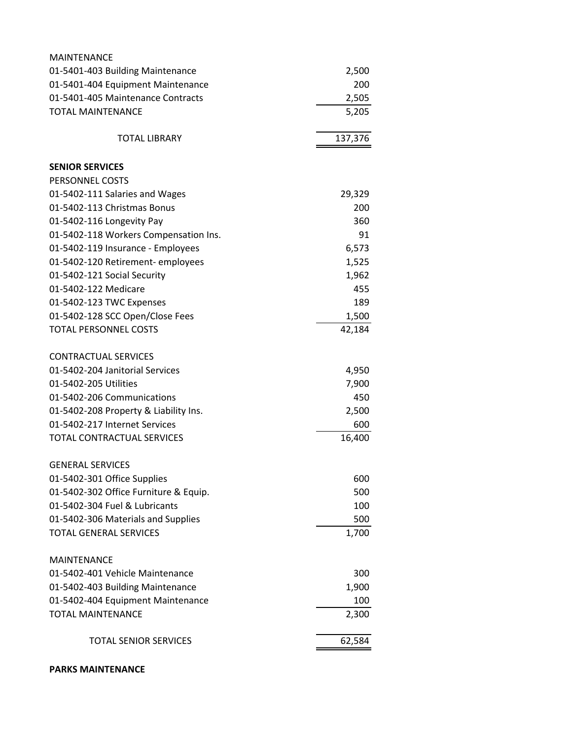| <b>MAINTENANCE</b>                    |         |
|---------------------------------------|---------|
| 01-5401-403 Building Maintenance      | 2,500   |
| 01-5401-404 Equipment Maintenance     | 200     |
| 01-5401-405 Maintenance Contracts     | 2,505   |
| <b>TOTAL MAINTENANCE</b>              | 5,205   |
| <b>TOTAL LIBRARY</b>                  | 137,376 |
| <b>SENIOR SERVICES</b>                |         |
| PERSONNEL COSTS                       |         |
| 01-5402-111 Salaries and Wages        | 29,329  |
| 01-5402-113 Christmas Bonus           | 200     |
| 01-5402-116 Longevity Pay             | 360     |
| 01-5402-118 Workers Compensation Ins. | 91      |
| 01-5402-119 Insurance - Employees     | 6,573   |
| 01-5402-120 Retirement- employees     | 1,525   |
| 01-5402-121 Social Security           | 1,962   |
| 01-5402-122 Medicare                  | 455     |
| 01-5402-123 TWC Expenses              | 189     |
| 01-5402-128 SCC Open/Close Fees       | 1,500   |
| <b>TOTAL PERSONNEL COSTS</b>          | 42,184  |
| <b>CONTRACTUAL SERVICES</b>           |         |
| 01-5402-204 Janitorial Services       | 4,950   |
| 01-5402-205 Utilities                 | 7,900   |
| 01-5402-206 Communications            | 450     |
| 01-5402-208 Property & Liability Ins. | 2,500   |
| 01-5402-217 Internet Services         | 600     |
| TOTAL CONTRACTUAL SERVICES            | 16,400  |
| <b>GENERAL SERVICES</b>               |         |
| 01-5402-301 Office Supplies           | 600     |
| 01-5402-302 Office Furniture & Equip. | 500     |
| 01-5402-304 Fuel & Lubricants         | 100     |
| 01-5402-306 Materials and Supplies    | 500     |
| <b>TOTAL GENERAL SERVICES</b>         | 1,700   |
| <b>MAINTENANCE</b>                    |         |
| 01-5402-401 Vehicle Maintenance       | 300     |
| 01-5402-403 Building Maintenance      | 1,900   |
| 01-5402-404 Equipment Maintenance     | 100     |
| <b>TOTAL MAINTENANCE</b>              | 2,300   |
| <b>TOTAL SENIOR SERVICES</b>          | 62,584  |
|                                       |         |

**PARKS MAINTENANCE**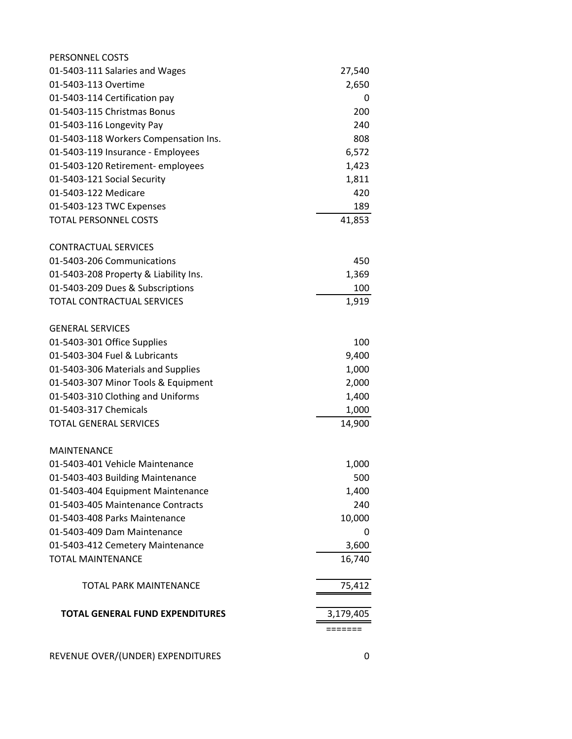| PERSONNEL COSTS                        |           |
|----------------------------------------|-----------|
| 01-5403-111 Salaries and Wages         | 27,540    |
| 01-5403-113 Overtime                   | 2,650     |
| 01-5403-114 Certification pay          | 0         |
| 01-5403-115 Christmas Bonus            | 200       |
| 01-5403-116 Longevity Pay              | 240       |
| 01-5403-118 Workers Compensation Ins.  | 808       |
| 01-5403-119 Insurance - Employees      | 6,572     |
| 01-5403-120 Retirement- employees      | 1,423     |
| 01-5403-121 Social Security            | 1,811     |
| 01-5403-122 Medicare                   | 420       |
| 01-5403-123 TWC Expenses               | 189       |
| <b>TOTAL PERSONNEL COSTS</b>           | 41,853    |
| <b>CONTRACTUAL SERVICES</b>            |           |
| 01-5403-206 Communications             | 450       |
| 01-5403-208 Property & Liability Ins.  | 1,369     |
| 01-5403-209 Dues & Subscriptions       | 100       |
| <b>TOTAL CONTRACTUAL SERVICES</b>      | 1,919     |
| <b>GENERAL SERVICES</b>                |           |
| 01-5403-301 Office Supplies            | 100       |
| 01-5403-304 Fuel & Lubricants          | 9,400     |
| 01-5403-306 Materials and Supplies     | 1,000     |
| 01-5403-307 Minor Tools & Equipment    | 2,000     |
| 01-5403-310 Clothing and Uniforms      | 1,400     |
| 01-5403-317 Chemicals                  | 1,000     |
| <b>TOTAL GENERAL SERVICES</b>          | 14,900    |
| <b>MAINTENANCE</b>                     |           |
| 01-5403-401 Vehicle Maintenance        | 1,000     |
| 01-5403-403 Building Maintenance       | 500       |
| 01-5403-404 Equipment Maintenance      | 1,400     |
| 01-5403-405 Maintenance Contracts      | 240       |
| 01-5403-408 Parks Maintenance          | 10,000    |
| 01-5403-409 Dam Maintenance            | 0         |
| 01-5403-412 Cemetery Maintenance       | 3,600     |
| <b>TOTAL MAINTENANCE</b>               | 16,740    |
| <b>TOTAL PARK MAINTENANCE</b>          | 75,412    |
| <b>TOTAL GENERAL FUND EXPENDITURES</b> | 3,179,405 |
|                                        |           |
| REVENUE OVER/(UNDER) EXPENDITURES      | 0         |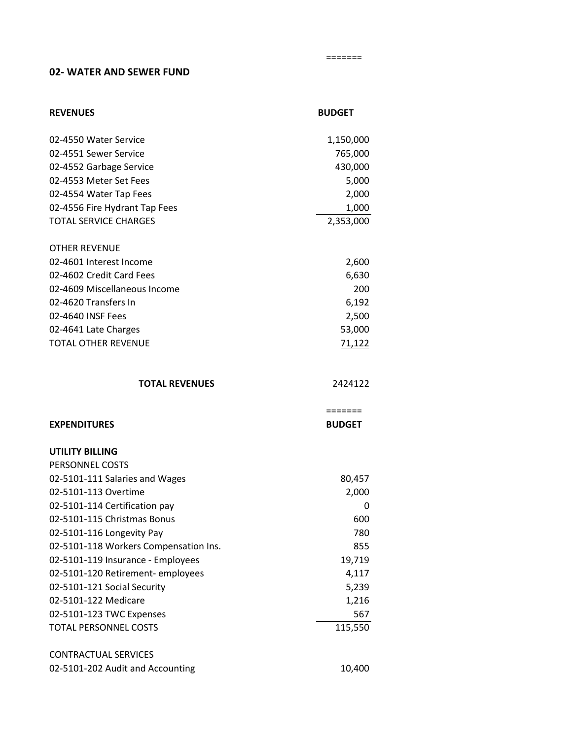#### **02- WATER AND SEWER FUND**

| <b>REVENUES</b>                                                 | <b>BUDGET</b> |
|-----------------------------------------------------------------|---------------|
| 02-4550 Water Service                                           | 1,150,000     |
| 02-4551 Sewer Service                                           | 765,000       |
| 02-4552 Garbage Service                                         | 430,000       |
| 02-4553 Meter Set Fees                                          | 5,000         |
| 02-4554 Water Tap Fees                                          | 2,000         |
| 02-4556 Fire Hydrant Tap Fees                                   | 1,000         |
| <b>TOTAL SERVICE CHARGES</b>                                    | 2,353,000     |
| <b>OTHER REVENUE</b>                                            |               |
| 02-4601 Interest Income                                         | 2,600         |
| 02-4602 Credit Card Fees                                        | 6,630         |
| 02-4609 Miscellaneous Income                                    | 200           |
| 02-4620 Transfers In                                            | 6,192         |
| 02-4640 INSF Fees                                               | 2,500         |
| 02-4641 Late Charges                                            | 53,000        |
| <b>TOTAL OTHER REVENUE</b>                                      | 71,122        |
| <b>TOTAL REVENUES</b>                                           | 2424122       |
|                                                                 |               |
|                                                                 | =======       |
| <b>EXPENDITURES</b>                                             | <b>BUDGET</b> |
| <b>UTILITY BILLING</b>                                          |               |
| PERSONNEL COSTS                                                 |               |
| 02-5101-111 Salaries and Wages                                  | 80,457        |
| 02-5101-113 Overtime                                            | 2,000         |
| 02-5101-114 Certification pay                                   | 0             |
| 02-5101-115 Christmas Bonus                                     | 600           |
| 02-5101-116 Longevity Pay                                       | 780           |
| 02-5101-118 Workers Compensation Ins.                           | 855           |
| 02-5101-119 Insurance - Employees                               | 19,719        |
| 02-5101-120 Retirement- employees                               | 4,117         |
| 02-5101-121 Social Security                                     | 5,239         |
| 02-5101-122 Medicare                                            | 1,216         |
| 02-5101-123 TWC Expenses                                        | 567           |
| <b>TOTAL PERSONNEL COSTS</b>                                    | 115,550       |
| <b>CONTRACTUAL SERVICES</b><br>02-5101-202 Audit and Accounting |               |

 =======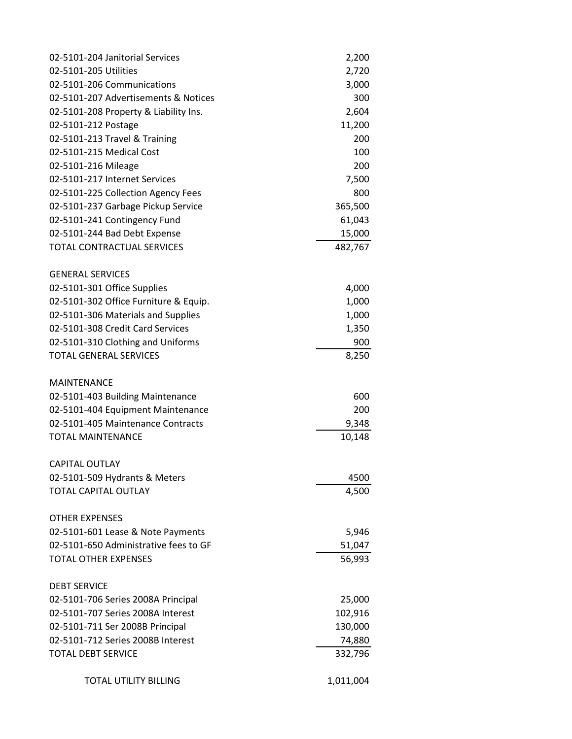| 02-5101-204 Janitorial Services       | 2,200     |
|---------------------------------------|-----------|
| 02-5101-205 Utilities                 | 2,720     |
| 02-5101-206 Communications            | 3,000     |
| 02-5101-207 Advertisements & Notices  | 300       |
| 02-5101-208 Property & Liability Ins. | 2,604     |
| 02-5101-212 Postage                   | 11,200    |
| 02-5101-213 Travel & Training         | 200       |
| 02-5101-215 Medical Cost              | 100       |
| 02-5101-216 Mileage                   | 200       |
| 02-5101-217 Internet Services         | 7,500     |
| 02-5101-225 Collection Agency Fees    | 800       |
| 02-5101-237 Garbage Pickup Service    | 365,500   |
| 02-5101-241 Contingency Fund          | 61,043    |
| 02-5101-244 Bad Debt Expense          | 15,000    |
| TOTAL CONTRACTUAL SERVICES            | 482,767   |
| <b>GENERAL SERVICES</b>               |           |
| 02-5101-301 Office Supplies           | 4,000     |
| 02-5101-302 Office Furniture & Equip. | 1,000     |
| 02-5101-306 Materials and Supplies    | 1,000     |
| 02-5101-308 Credit Card Services      | 1,350     |
| 02-5101-310 Clothing and Uniforms     | 900       |
| <b>TOTAL GENERAL SERVICES</b>         | 8,250     |
| <b>MAINTENANCE</b>                    |           |
| 02-5101-403 Building Maintenance      | 600       |
| 02-5101-404 Equipment Maintenance     | 200       |
| 02-5101-405 Maintenance Contracts     | 9,348     |
| <b>TOTAL MAINTENANCE</b>              | 10,148    |
| <b>CAPITAL OUTLAY</b>                 |           |
| 02-5101-509 Hydrants & Meters         | 4500      |
| <b>TOTAL CAPITAL OUTLAY</b>           | 4,500     |
| <b>OTHER EXPENSES</b>                 |           |
| 02-5101-601 Lease & Note Payments     | 5,946     |
| 02-5101-650 Administrative fees to GF | 51,047    |
| <b>TOTAL OTHER EXPENSES</b>           | 56,993    |
| <b>DEBT SERVICE</b>                   |           |
| 02-5101-706 Series 2008A Principal    | 25,000    |
| 02-5101-707 Series 2008A Interest     | 102,916   |
| 02-5101-711 Ser 2008B Principal       | 130,000   |
| 02-5101-712 Series 2008B Interest     | 74,880    |
| TOTAL DEBT SERVICE                    | 332,796   |
| <b>TOTAL UTILITY BILLING</b>          | 1,011,004 |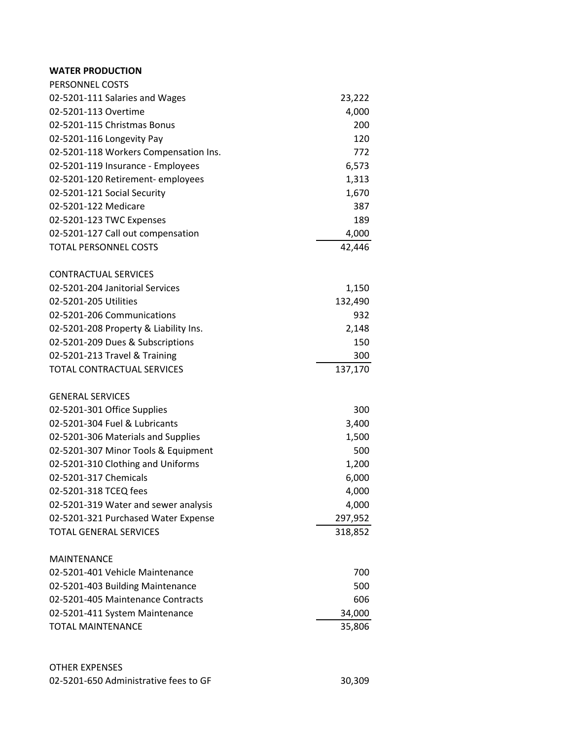## **WATER PRODUCTION**

| PERSONNEL COSTS                       |         |
|---------------------------------------|---------|
| 02-5201-111 Salaries and Wages        | 23,222  |
| 02-5201-113 Overtime                  | 4,000   |
| 02-5201-115 Christmas Bonus           | 200     |
| 02-5201-116 Longevity Pay             | 120     |
| 02-5201-118 Workers Compensation Ins. | 772     |
| 02-5201-119 Insurance - Employees     | 6,573   |
| 02-5201-120 Retirement-employees      | 1,313   |
| 02-5201-121 Social Security           | 1,670   |
| 02-5201-122 Medicare                  | 387     |
| 02-5201-123 TWC Expenses              | 189     |
| 02-5201-127 Call out compensation     | 4,000   |
| <b>TOTAL PERSONNEL COSTS</b>          | 42,446  |
| <b>CONTRACTUAL SERVICES</b>           |         |
| 02-5201-204 Janitorial Services       | 1,150   |
| 02-5201-205 Utilities                 | 132,490 |
| 02-5201-206 Communications            | 932     |
| 02-5201-208 Property & Liability Ins. | 2,148   |
| 02-5201-209 Dues & Subscriptions      | 150     |
| 02-5201-213 Travel & Training         | 300     |
| <b>TOTAL CONTRACTUAL SERVICES</b>     | 137,170 |
| <b>GENERAL SERVICES</b>               |         |
| 02-5201-301 Office Supplies           | 300     |
| 02-5201-304 Fuel & Lubricants         | 3,400   |
| 02-5201-306 Materials and Supplies    | 1,500   |
| 02-5201-307 Minor Tools & Equipment   | 500     |
| 02-5201-310 Clothing and Uniforms     | 1,200   |
| 02-5201-317 Chemicals                 | 6,000   |
| 02-5201-318 TCEQ fees                 | 4,000   |
| 02-5201-319 Water and sewer analysis  | 4,000   |
| 02-5201-321 Purchased Water Expense   | 297,952 |
| <b>TOTAL GENERAL SERVICES</b>         | 318,852 |
| <b>MAINTENANCE</b>                    |         |
| 02-5201-401 Vehicle Maintenance       | 700     |
| 02-5201-403 Building Maintenance      | 500     |
| 02-5201-405 Maintenance Contracts     | 606     |
| 02-5201-411 System Maintenance        | 34,000  |
| <b>TOTAL MAINTENANCE</b>              | 35,806  |
|                                       |         |

# OTHER EXPENSES

| 02-5201-650 Administrative fees to GF | 30,309 |
|---------------------------------------|--------|
|---------------------------------------|--------|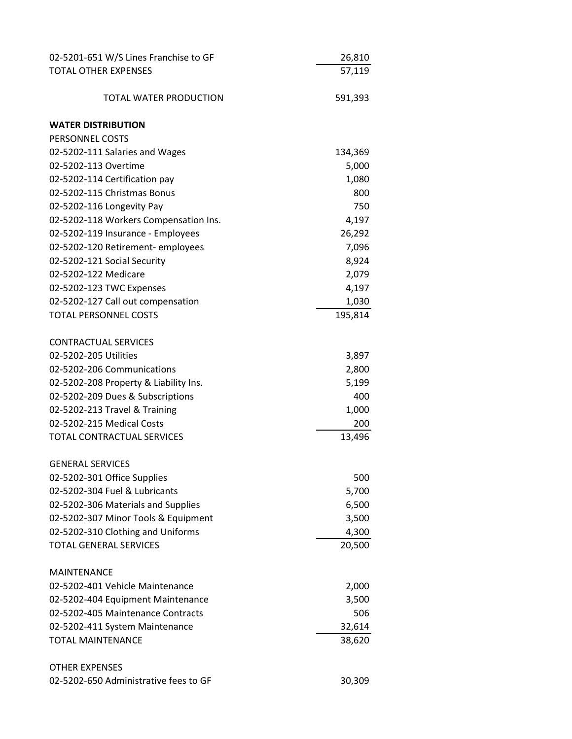| 02-5201-651 W/S Lines Franchise to GF | 26,810  |
|---------------------------------------|---------|
| <b>TOTAL OTHER EXPENSES</b>           | 57,119  |
|                                       |         |
| TOTAL WATER PRODUCTION                | 591,393 |
| <b>WATER DISTRIBUTION</b>             |         |
| PERSONNEL COSTS                       |         |
| 02-5202-111 Salaries and Wages        | 134,369 |
| 02-5202-113 Overtime                  | 5,000   |
| 02-5202-114 Certification pay         | 1,080   |
| 02-5202-115 Christmas Bonus           | 800     |
| 02-5202-116 Longevity Pay             | 750     |
| 02-5202-118 Workers Compensation Ins. | 4,197   |
| 02-5202-119 Insurance - Employees     | 26,292  |
| 02-5202-120 Retirement- employees     | 7,096   |
| 02-5202-121 Social Security           | 8,924   |
| 02-5202-122 Medicare                  | 2,079   |
| 02-5202-123 TWC Expenses              | 4,197   |
| 02-5202-127 Call out compensation     | 1,030   |
| <b>TOTAL PERSONNEL COSTS</b>          | 195,814 |
| <b>CONTRACTUAL SERVICES</b>           |         |
| 02-5202-205 Utilities                 | 3,897   |
| 02-5202-206 Communications            | 2,800   |
| 02-5202-208 Property & Liability Ins. | 5,199   |
| 02-5202-209 Dues & Subscriptions      | 400     |
| 02-5202-213 Travel & Training         | 1,000   |
| 02-5202-215 Medical Costs             | 200     |
| <b>TOTAL CONTRACTUAL SERVICES</b>     | 13,496  |
| <b>GENERAL SERVICES</b>               |         |
| 02-5202-301 Office Supplies           | 500     |
| 02-5202-304 Fuel & Lubricants         | 5,700   |
| 02-5202-306 Materials and Supplies    | 6,500   |
| 02-5202-307 Minor Tools & Equipment   | 3,500   |
| 02-5202-310 Clothing and Uniforms     | 4,300   |
| <b>TOTAL GENERAL SERVICES</b>         | 20,500  |
| <b>MAINTENANCE</b>                    |         |
| 02-5202-401 Vehicle Maintenance       | 2,000   |
| 02-5202-404 Equipment Maintenance     | 3,500   |
| 02-5202-405 Maintenance Contracts     | 506     |
| 02-5202-411 System Maintenance        | 32,614  |
| <b>TOTAL MAINTENANCE</b>              | 38,620  |
| <b>OTHER EXPENSES</b>                 |         |
| 02-5202-650 Administrative fees to GF | 30,309  |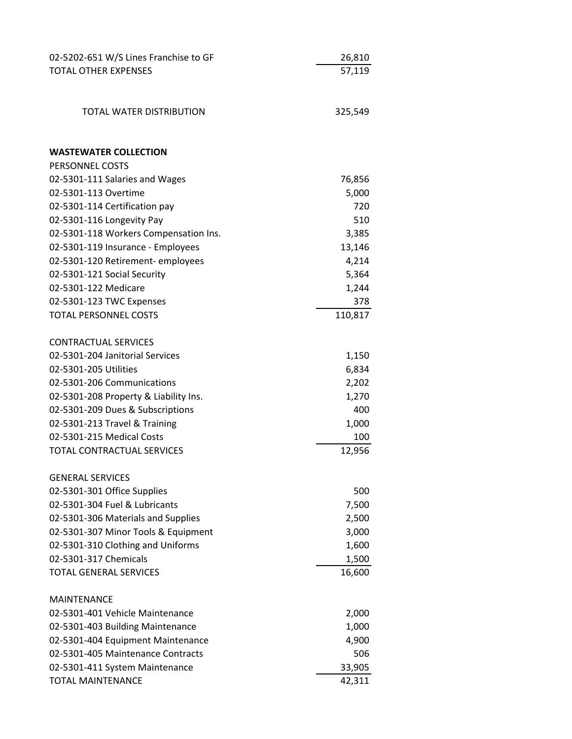| 02-5202-651 W/S Lines Franchise to GF | 26,810          |
|---------------------------------------|-----------------|
| <b>TOTAL OTHER EXPENSES</b>           | 57,119          |
|                                       |                 |
|                                       |                 |
| TOTAL WATER DISTRIBUTION              | 325,549         |
| <b>WASTEWATER COLLECTION</b>          |                 |
| PERSONNEL COSTS                       |                 |
| 02-5301-111 Salaries and Wages        |                 |
| 02-5301-113 Overtime                  | 76,856<br>5,000 |
| 02-5301-114 Certification pay         | 720             |
| 02-5301-116 Longevity Pay             | 510             |
| 02-5301-118 Workers Compensation Ins. | 3,385           |
| 02-5301-119 Insurance - Employees     | 13,146          |
| 02-5301-120 Retirement-employees      | 4,214           |
| 02-5301-121 Social Security           | 5,364           |
| 02-5301-122 Medicare                  | 1,244           |
| 02-5301-123 TWC Expenses              | 378             |
| <b>TOTAL PERSONNEL COSTS</b>          | 110,817         |
|                                       |                 |
| <b>CONTRACTUAL SERVICES</b>           |                 |
| 02-5301-204 Janitorial Services       | 1,150           |
| 02-5301-205 Utilities                 | 6,834           |
| 02-5301-206 Communications            | 2,202           |
| 02-5301-208 Property & Liability Ins. | 1,270           |
| 02-5301-209 Dues & Subscriptions      | 400             |
| 02-5301-213 Travel & Training         | 1,000           |
| 02-5301-215 Medical Costs             | 100             |
| <b>TOTAL CONTRACTUAL SERVICES</b>     | 12,956          |
| <b>GENERAL SERVICES</b>               |                 |
| 02-5301-301 Office Supplies           | 500             |
| 02-5301-304 Fuel & Lubricants         | 7,500           |
| 02-5301-306 Materials and Supplies    | 2,500           |
| 02-5301-307 Minor Tools & Equipment   | 3,000           |
| 02-5301-310 Clothing and Uniforms     | 1,600           |
| 02-5301-317 Chemicals                 | 1,500           |
| <b>TOTAL GENERAL SERVICES</b>         | 16,600          |
| <b>MAINTENANCE</b>                    |                 |
| 02-5301-401 Vehicle Maintenance       | 2,000           |
| 02-5301-403 Building Maintenance      | 1,000           |
| 02-5301-404 Equipment Maintenance     | 4,900           |
| 02-5301-405 Maintenance Contracts     | 506             |
| 02-5301-411 System Maintenance        | 33,905          |
| <b>TOTAL MAINTENANCE</b>              | 42,311          |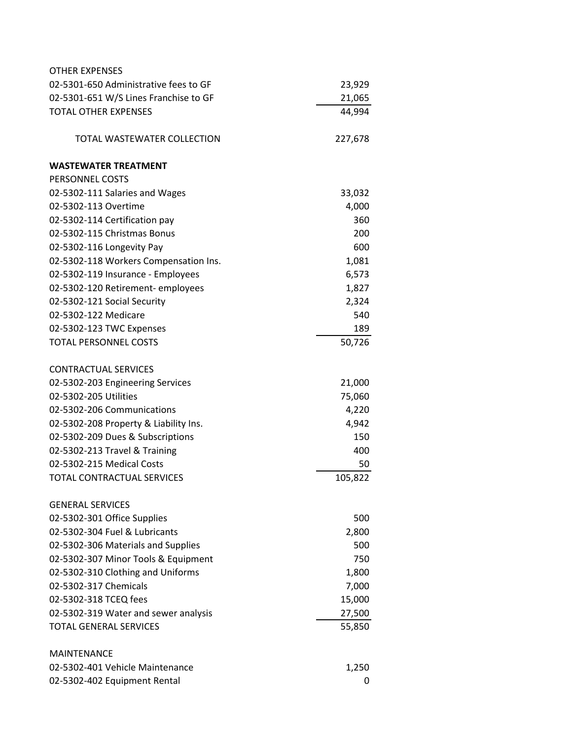| <b>OTHER EXPENSES</b>                 |         |
|---------------------------------------|---------|
| 02-5301-650 Administrative fees to GF | 23,929  |
| 02-5301-651 W/S Lines Franchise to GF | 21,065  |
| <b>TOTAL OTHER EXPENSES</b>           | 44,994  |
| TOTAL WASTEWATER COLLECTION           | 227,678 |
| <b>WASTEWATER TREATMENT</b>           |         |
| PERSONNEL COSTS                       |         |
| 02-5302-111 Salaries and Wages        | 33,032  |
| 02-5302-113 Overtime                  | 4,000   |
| 02-5302-114 Certification pay         | 360     |
| 02-5302-115 Christmas Bonus           | 200     |
| 02-5302-116 Longevity Pay             | 600     |
| 02-5302-118 Workers Compensation Ins. | 1,081   |
| 02-5302-119 Insurance - Employees     | 6,573   |
| 02-5302-120 Retirement-employees      | 1,827   |
| 02-5302-121 Social Security           | 2,324   |
| 02-5302-122 Medicare                  | 540     |
| 02-5302-123 TWC Expenses              | 189     |
| <b>TOTAL PERSONNEL COSTS</b>          | 50,726  |
| <b>CONTRACTUAL SERVICES</b>           |         |
| 02-5302-203 Engineering Services      | 21,000  |
| 02-5302-205 Utilities                 | 75,060  |
| 02-5302-206 Communications            | 4,220   |
| 02-5302-208 Property & Liability Ins. | 4,942   |
| 02-5302-209 Dues & Subscriptions      | 150     |
| 02-5302-213 Travel & Training         | 400     |
| 02-5302-215 Medical Costs             | 50      |
| TOTAL CONTRACTUAL SERVICES            | 105,822 |
| <b>GENERAL SERVICES</b>               |         |
| 02-5302-301 Office Supplies           | 500     |
| 02-5302-304 Fuel & Lubricants         | 2,800   |
| 02-5302-306 Materials and Supplies    | 500     |
| 02-5302-307 Minor Tools & Equipment   | 750     |
| 02-5302-310 Clothing and Uniforms     | 1,800   |
| 02-5302-317 Chemicals                 | 7,000   |
| 02-5302-318 TCEQ fees                 | 15,000  |
| 02-5302-319 Water and sewer analysis  | 27,500  |
| <b>TOTAL GENERAL SERVICES</b>         | 55,850  |
| <b>MAINTENANCE</b>                    |         |
| 02-5302-401 Vehicle Maintenance       | 1,250   |
| 02-5302-402 Equipment Rental          | 0       |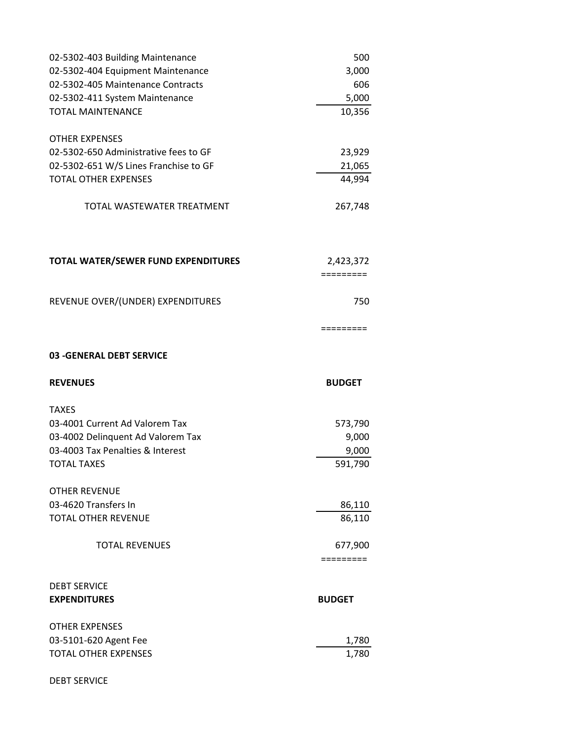| 02-5302-403 Building Maintenance                                      | 500                  |
|-----------------------------------------------------------------------|----------------------|
| 02-5302-404 Equipment Maintenance                                     | 3,000                |
| 02-5302-405 Maintenance Contracts                                     | 606                  |
| 02-5302-411 System Maintenance                                        | 5,000                |
| <b>TOTAL MAINTENANCE</b>                                              | 10,356               |
|                                                                       |                      |
| <b>OTHER EXPENSES</b>                                                 |                      |
| 02-5302-650 Administrative fees to GF                                 | 23,929               |
| 02-5302-651 W/S Lines Franchise to GF                                 | 21,065               |
| <b>TOTAL OTHER EXPENSES</b>                                           | 44,994               |
| TOTAL WASTEWATER TREATMENT                                            | 267,748              |
|                                                                       |                      |
| TOTAL WATER/SEWER FUND EXPENDITURES                                   | 2,423,372            |
|                                                                       | $=$ ========         |
| REVENUE OVER/(UNDER) EXPENDITURES                                     | 750                  |
|                                                                       | =========            |
| 03 - GENERAL DEBT SERVICE                                             |                      |
|                                                                       |                      |
|                                                                       |                      |
| <b>REVENUES</b>                                                       | <b>BUDGET</b>        |
| <b>TAXES</b>                                                          |                      |
| 03-4001 Current Ad Valorem Tax                                        |                      |
|                                                                       | 573,790              |
| 03-4002 Delinquent Ad Valorem Tax<br>03-4003 Tax Penalties & Interest | 9,000                |
| <b>TOTAL TAXES</b>                                                    | 9,000<br>591,790     |
|                                                                       |                      |
| <b>OTHER REVENUE</b>                                                  |                      |
| 03-4620 Transfers In                                                  | 86,110               |
| <b>TOTAL OTHER REVENUE</b>                                            | 86,110               |
|                                                                       |                      |
| <b>TOTAL REVENUES</b>                                                 | 677,900<br>========= |
|                                                                       |                      |
| <b>DEBT SERVICE</b>                                                   |                      |
| <b>EXPENDITURES</b>                                                   | <b>BUDGET</b>        |
| <b>OTHER EXPENSES</b>                                                 |                      |
| 03-5101-620 Agent Fee                                                 | 1,780                |
| <b>TOTAL OTHER EXPENSES</b>                                           | 1,780                |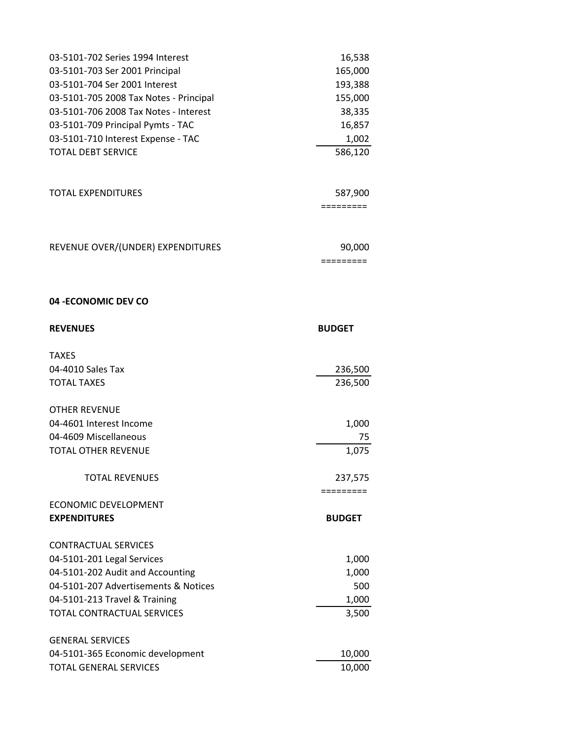| 03-5101-702 Series 1994 Interest                    | 16,538        |
|-----------------------------------------------------|---------------|
| 03-5101-703 Ser 2001 Principal                      | 165,000       |
| 03-5101-704 Ser 2001 Interest                       | 193,388       |
| 03-5101-705 2008 Tax Notes - Principal              | 155,000       |
| 03-5101-706 2008 Tax Notes - Interest               | 38,335        |
| 03-5101-709 Principal Pymts - TAC                   | 16,857        |
| 03-5101-710 Interest Expense - TAC                  | 1,002         |
| TOTAL DEBT SERVICE                                  | 586,120       |
|                                                     |               |
| TOTAL EXPENDITURES                                  | 587,900       |
|                                                     | =========     |
| REVENUE OVER/(UNDER) EXPENDITURES                   | 90,000        |
|                                                     | =========     |
| 04 - ECONOMIC DEV CO                                |               |
| <b>REVENUES</b>                                     | <b>BUDGET</b> |
| <b>TAXES</b>                                        |               |
|                                                     |               |
| 04-4010 Sales Tax                                   | 236,500       |
| <b>TOTAL TAXES</b>                                  | 236,500       |
| <b>OTHER REVENUE</b>                                |               |
|                                                     |               |
| 04-4601 Interest Income                             | 1,000         |
| 04-4609 Miscellaneous<br><b>TOTAL OTHER REVENUE</b> | 75<br>1,075   |
| <b>TOTAL REVENUES</b>                               | 237,575       |
|                                                     | =========     |
| <b>ECONOMIC DEVELOPMENT</b>                         |               |
| <b>EXPENDITURES</b>                                 | <b>BUDGET</b> |
| <b>CONTRACTUAL SERVICES</b>                         |               |
| 04-5101-201 Legal Services                          | 1,000         |
| 04-5101-202 Audit and Accounting                    | 1,000         |
| 04-5101-207 Advertisements & Notices                | 500           |
| 04-5101-213 Travel & Training                       | 1,000         |
| TOTAL CONTRACTUAL SERVICES                          | 3,500         |
| <b>GENERAL SERVICES</b>                             |               |
| 04-5101-365 Economic development                    | 10,000        |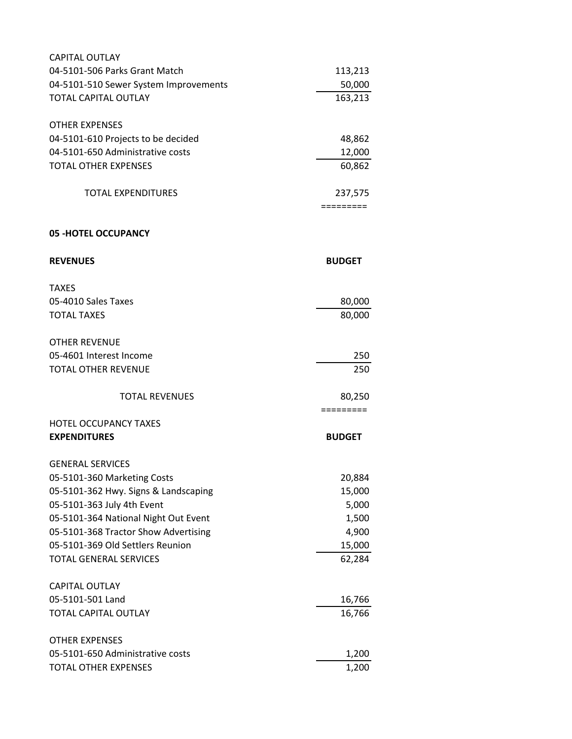| <b>CAPITAL OUTLAY</b>                 |                                |
|---------------------------------------|--------------------------------|
| 04-5101-506 Parks Grant Match         | 113,213                        |
| 04-5101-510 Sewer System Improvements | 50,000                         |
| <b>TOTAL CAPITAL OUTLAY</b>           | 163,213                        |
| <b>OTHER EXPENSES</b>                 |                                |
| 04-5101-610 Projects to be decided    | 48,862                         |
| 04-5101-650 Administrative costs      | 12,000                         |
| <b>TOTAL OTHER EXPENSES</b>           | 60,862                         |
| <b>TOTAL EXPENDITURES</b>             | 237,575<br>$=$ = = = = = = = = |
| <b>05 -HOTEL OCCUPANCY</b>            |                                |
|                                       |                                |
| <b>REVENUES</b>                       | <b>BUDGET</b>                  |
| <b>TAXES</b>                          |                                |
| 05-4010 Sales Taxes                   | 80,000                         |
| <b>TOTAL TAXES</b>                    | 80,000                         |
| <b>OTHER REVENUE</b>                  |                                |
| 05-4601 Interest Income               | 250                            |
| <b>TOTAL OTHER REVENUE</b>            | 250                            |
| <b>TOTAL REVENUES</b>                 | 80,250<br>=========            |
| <b>HOTEL OCCUPANCY TAXES</b>          |                                |
| <b>EXPENDITURES</b>                   | <b>BUDGET</b>                  |
| <b>GENERAL SERVICES</b>               |                                |
| 05-5101-360 Marketing Costs           | 20,884                         |
| 05-5101-362 Hwy. Signs & Landscaping  | 15,000                         |
| 05-5101-363 July 4th Event            | 5,000                          |
| 05-5101-364 National Night Out Event  | 1,500                          |
| 05-5101-368 Tractor Show Advertising  | 4,900                          |
| 05-5101-369 Old Settlers Reunion      | 15,000                         |
| <b>TOTAL GENERAL SERVICES</b>         | 62,284                         |
| <b>CAPITAL OUTLAY</b>                 |                                |
| 05-5101-501 Land                      | 16,766                         |
| <b>TOTAL CAPITAL OUTLAY</b>           | 16,766                         |
| <b>OTHER EXPENSES</b>                 |                                |
| 05-5101-650 Administrative costs      | 1,200                          |
| <b>TOTAL OTHER EXPENSES</b>           | 1,200                          |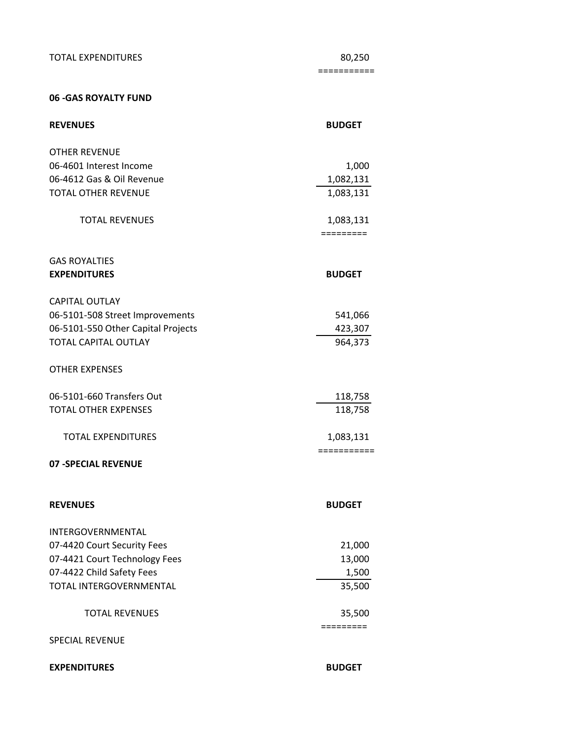TOTAL EXPENDITURES 80,250

===========

### **06 -GAS ROYALTY FUND**

| <b>REVENUES</b>                    | <b>BUDGET</b>            |
|------------------------------------|--------------------------|
| <b>OTHER REVENUE</b>               |                          |
| 06-4601 Interest Income            | 1,000                    |
| 06-4612 Gas & Oil Revenue          | 1,082,131                |
| <b>TOTAL OTHER REVENUE</b>         | 1,083,131                |
| <b>TOTAL REVENUES</b>              | 1,083,131<br>=========   |
| <b>GAS ROYALTIES</b>               |                          |
| <b>EXPENDITURES</b>                | <b>BUDGET</b>            |
| <b>CAPITAL OUTLAY</b>              |                          |
| 06-5101-508 Street Improvements    | 541,066                  |
| 06-5101-550 Other Capital Projects | 423,307                  |
| <b>TOTAL CAPITAL OUTLAY</b>        | 964,373                  |
| <b>OTHER EXPENSES</b>              |                          |
| 06-5101-660 Transfers Out          | 118,758                  |
| <b>TOTAL OTHER EXPENSES</b>        | 118,758                  |
| <b>TOTAL EXPENDITURES</b>          | 1,083,131<br>=========== |
| <b>07 - SPECIAL REVENUE</b>        |                          |
| <b>REVENUES</b>                    | <b>BUDGET</b>            |
| INTERGOVERNMENTAL                  |                          |
| 07-4420 Court Security Fees        | 21,000                   |
| 07-4421 Court Technology Fees      | 13,000                   |
| 07-4422 Child Safety Fees          | 1,500                    |
| TOTAL INTERGOVERNMENTAL            | 35,500                   |
| <b>TOTAL REVENUES</b>              | 35,500<br>=========      |
| <b>SPECIAL REVENUE</b>             |                          |
| <b>EXPENDITURES</b>                | <b>BUDGET</b>            |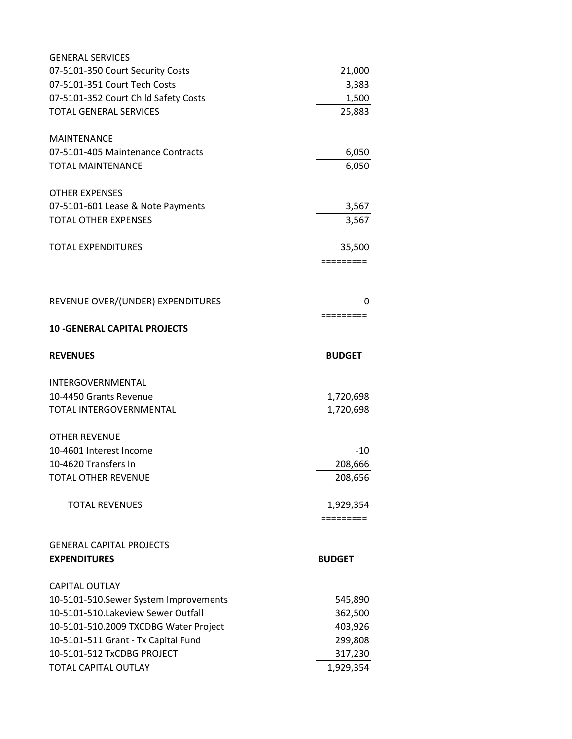| <b>GENERAL SERVICES</b>                |                        |
|----------------------------------------|------------------------|
| 07-5101-350 Court Security Costs       | 21,000                 |
| 07-5101-351 Court Tech Costs           | 3,383                  |
| 07-5101-352 Court Child Safety Costs   | 1,500                  |
| <b>TOTAL GENERAL SERVICES</b>          | 25,883                 |
| <b>MAINTENANCE</b>                     |                        |
| 07-5101-405 Maintenance Contracts      | 6,050                  |
| <b>TOTAL MAINTENANCE</b>               | 6,050                  |
| <b>OTHER EXPENSES</b>                  |                        |
| 07-5101-601 Lease & Note Payments      | 3,567                  |
| <b>TOTAL OTHER EXPENSES</b>            | 3,567                  |
| <b>TOTAL EXPENDITURES</b>              | 35,500                 |
|                                        | =========              |
| REVENUE OVER/(UNDER) EXPENDITURES      | 0                      |
| <b>10 - GENERAL CAPITAL PROJECTS</b>   | =========              |
| <b>REVENUES</b>                        | <b>BUDGET</b>          |
| INTERGOVERNMENTAL                      |                        |
| 10-4450 Grants Revenue                 |                        |
| TOTAL INTERGOVERNMENTAL                | 1,720,698<br>1,720,698 |
|                                        |                        |
| <b>OTHER REVENUE</b>                   |                        |
| 10-4601 Interest Income                | -10                    |
| 10-4620 Transfers In                   | 208,666                |
| <b>TOTAL OTHER REVENUE</b>             | 208,656                |
| <b>TOTAL REVENUES</b>                  | 1,929,354              |
|                                        | =========              |
| <b>GENERAL CAPITAL PROJECTS</b>        |                        |
| <b>EXPENDITURES</b>                    | <b>BUDGET</b>          |
| <b>CAPITAL OUTLAY</b>                  |                        |
| 10-5101-510. Sewer System Improvements | 545,890                |
| 10-5101-510.Lakeview Sewer Outfall     | 362,500                |
| 10-5101-510.2009 TXCDBG Water Project  | 403,926                |
| 10-5101-511 Grant - Tx Capital Fund    | 299,808                |
| 10-5101-512 TxCDBG PROJECT             | 317,230                |
| TOTAL CAPITAL OUTLAY                   | 1,929,354              |